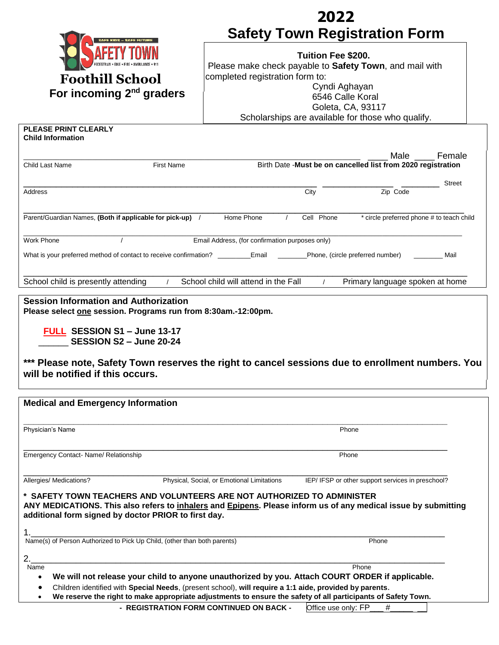|                                                                                                                                                                                                 | 2022                                                                                                                                    |  |  |  |  |
|-------------------------------------------------------------------------------------------------------------------------------------------------------------------------------------------------|-----------------------------------------------------------------------------------------------------------------------------------------|--|--|--|--|
|                                                                                                                                                                                                 | <b>Safety Town Registration Form</b>                                                                                                    |  |  |  |  |
| SAFE KIDS – SAFE FUTURE                                                                                                                                                                         |                                                                                                                                         |  |  |  |  |
|                                                                                                                                                                                                 | <b>Tuition Fee \$200.</b>                                                                                                               |  |  |  |  |
|                                                                                                                                                                                                 | Please make check payable to Safety Town, and mail with                                                                                 |  |  |  |  |
| <b>Foothill School</b>                                                                                                                                                                          | completed registration form to:                                                                                                         |  |  |  |  |
| For incoming 2 <sup>nd</sup> graders                                                                                                                                                            | Cyndi Aghayan<br>6546 Calle Koral                                                                                                       |  |  |  |  |
|                                                                                                                                                                                                 | Goleta, CA, 93117                                                                                                                       |  |  |  |  |
|                                                                                                                                                                                                 | Scholarships are available for those who qualify.                                                                                       |  |  |  |  |
| <b>PLEASE PRINT CLEARLY</b>                                                                                                                                                                     |                                                                                                                                         |  |  |  |  |
| <b>Child Information</b>                                                                                                                                                                        |                                                                                                                                         |  |  |  |  |
|                                                                                                                                                                                                 | Male<br>Female                                                                                                                          |  |  |  |  |
| <b>First Name</b><br>Child Last Name                                                                                                                                                            | Birth Date -Must be on cancelled list from 2020 registration                                                                            |  |  |  |  |
|                                                                                                                                                                                                 | <b>Street</b>                                                                                                                           |  |  |  |  |
| <b>Address</b>                                                                                                                                                                                  | Zip Code<br>City                                                                                                                        |  |  |  |  |
|                                                                                                                                                                                                 |                                                                                                                                         |  |  |  |  |
| Parent/Guardian Names, (Both if applicable for pick-up) /                                                                                                                                       | Home Phone<br>Cell Phone<br>* circle preferred phone # to teach child                                                                   |  |  |  |  |
|                                                                                                                                                                                                 |                                                                                                                                         |  |  |  |  |
| <b>Work Phone</b>                                                                                                                                                                               | Email Address, (for confirmation purposes only)                                                                                         |  |  |  |  |
|                                                                                                                                                                                                 | What is your preferred method of contact to receive confirmation? _____________________________Phone, (circle preferred number)<br>Mail |  |  |  |  |
|                                                                                                                                                                                                 |                                                                                                                                         |  |  |  |  |
|                                                                                                                                                                                                 |                                                                                                                                         |  |  |  |  |
| School child is presently attending                                                                                                                                                             | School child will attend in the Fall<br>Primary language spoken at home                                                                 |  |  |  |  |
| FULL SESSION S1 - June 13-17<br>SESSION S2 - June 20-24<br>*** Please note, Safety Town reserves the right to cancel sessions due to enrollment numbers. You<br>will be notified if this occurs |                                                                                                                                         |  |  |  |  |
|                                                                                                                                                                                                 |                                                                                                                                         |  |  |  |  |
| <b>Medical and Emergency Information</b>                                                                                                                                                        |                                                                                                                                         |  |  |  |  |
|                                                                                                                                                                                                 |                                                                                                                                         |  |  |  |  |
| Physician's Name                                                                                                                                                                                | Phone                                                                                                                                   |  |  |  |  |
|                                                                                                                                                                                                 |                                                                                                                                         |  |  |  |  |
| Emergency Contact- Name/ Relationship                                                                                                                                                           | Phone                                                                                                                                   |  |  |  |  |
|                                                                                                                                                                                                 |                                                                                                                                         |  |  |  |  |
| Allergies/ Medications?                                                                                                                                                                         | Physical, Social, or Emotional Limitations<br>IEP/ IFSP or other support services in preschool?                                         |  |  |  |  |
| * SAFETY TOWN TEACHERS AND VOLUNTEERS ARE NOT AUTHORIZED TO ADMINISTER<br>additional form signed by doctor PRIOR to first day.                                                                  | ANY MEDICATIONS. This also refers to inhalers and Epipens. Please inform us of any medical issue by submitting                          |  |  |  |  |
| Name(s) of Person Authorized to Pick Up Child, (other than both parents)                                                                                                                        | Phone                                                                                                                                   |  |  |  |  |
|                                                                                                                                                                                                 |                                                                                                                                         |  |  |  |  |
| 2.                                                                                                                                                                                              |                                                                                                                                         |  |  |  |  |
| Name<br>$\bullet$                                                                                                                                                                               | Phone<br>We will not release your child to anyone unauthorized by you. Attach COURT ORDER if applicable.                                |  |  |  |  |
| Children identified with Special Needs, (present school), will require a 1:1 aide, provided by parents.<br>٠                                                                                    |                                                                                                                                         |  |  |  |  |
| We reserve the right to make appropriate adjustments to ensure the safety of all participants of Safety Town.<br>$\bullet$                                                                      |                                                                                                                                         |  |  |  |  |
|                                                                                                                                                                                                 | - REGISTRATION FORM CONTINUED ON BACK -<br>Office use only: FP<br>#                                                                     |  |  |  |  |
|                                                                                                                                                                                                 |                                                                                                                                         |  |  |  |  |